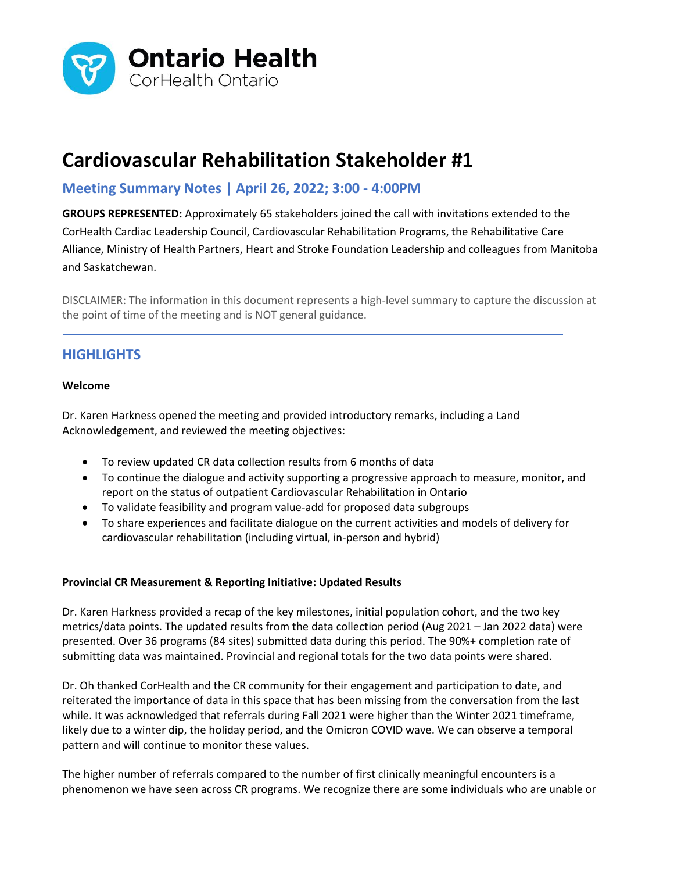

# **Cardiovascular Rehabilitation Stakeholder #1**

# **Meeting Summary Notes | April 26, 2022; 3:00 - 4:00PM**

**GROUPS REPRESENTED:** Approximately 65 stakeholders joined the call with invitations extended to the CorHealth Cardiac Leadership Council, Cardiovascular Rehabilitation Programs, the Rehabilitative Care Alliance, Ministry of Health Partners, Heart and Stroke Foundation Leadership and colleagues from Manitoba and Saskatchewan.

DISCLAIMER: The information in this document represents a high-level summary to capture the discussion at the point of time of the meeting and is NOT general guidance.

## **HIGHLIGHTS**

#### **Welcome**

Dr. Karen Harkness opened the meeting and provided introductory remarks, including a Land Acknowledgement, and reviewed the meeting objectives:

- To review updated CR data collection results from 6 months of data
- To continue the dialogue and activity supporting a progressive approach to measure, monitor, and report on the status of outpatient Cardiovascular Rehabilitation in Ontario
- To validate feasibility and program value-add for proposed data subgroups
- To share experiences and facilitate dialogue on the current activities and models of delivery for cardiovascular rehabilitation (including virtual, in-person and hybrid)

#### **Provincial CR Measurement & Reporting Initiative: Updated Results**

Dr. Karen Harkness provided a recap of the key milestones, initial population cohort, and the two key metrics/data points. The updated results from the data collection period (Aug 2021 – Jan 2022 data) were presented. Over 36 programs (84 sites) submitted data during this period. The 90%+ completion rate of submitting data was maintained. Provincial and regional totals for the two data points were shared.

Dr. Oh thanked CorHealth and the CR community for their engagement and participation to date, and reiterated the importance of data in this space that has been missing from the conversation from the last while. It was acknowledged that referrals during Fall 2021 were higher than the Winter 2021 timeframe, likely due to a winter dip, the holiday period, and the Omicron COVID wave. We can observe a temporal pattern and will continue to monitor these values.

The higher number of referrals compared to the number of first clinically meaningful encounters is a phenomenon we have seen across CR programs. We recognize there are some individuals who are unable or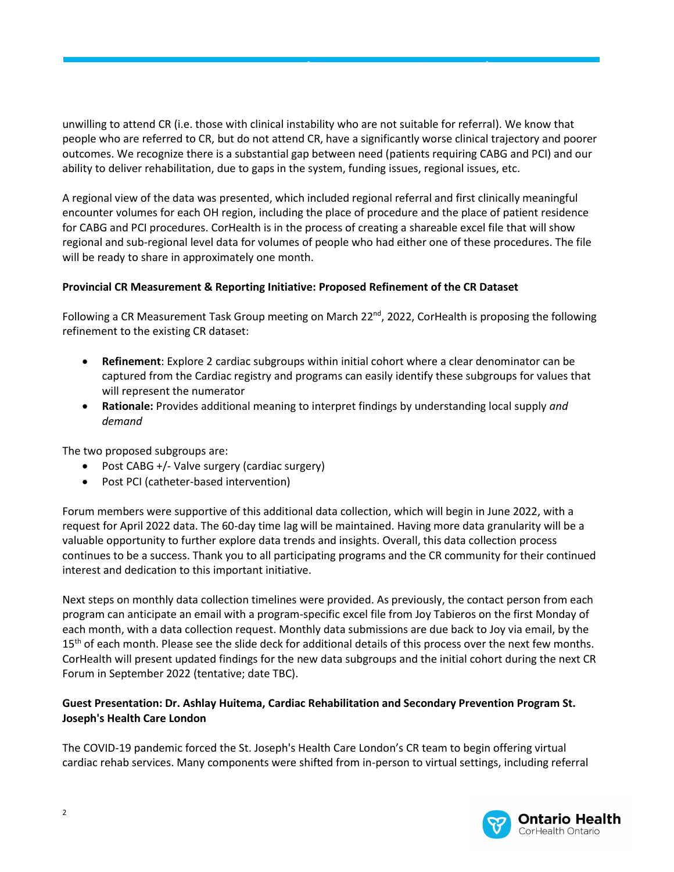unwilling to attend CR (i.e. those with clinical instability who are not suitable for referral). We know that people who are referred to CR, but do not attend CR, have a significantly worse clinical trajectory and poorer outcomes. We recognize there is a substantial gap between need (patients requiring CABG and PCI) and our ability to deliver rehabilitation, due to gaps in the system, funding issues, regional issues, etc.

**ONTARIO HEALTH (CANCER CARE ONTARIO)**

A regional view of the data was presented, which included regional referral and first clinically meaningful encounter volumes for each OH region, including the place of procedure and the place of patient residence for CABG and PCI procedures. CorHealth is in the process of creating a shareable excel file that will show regional and sub-regional level data for volumes of people who had either one of these procedures. The file will be ready to share in approximately one month.

## **Provincial CR Measurement & Reporting Initiative: Proposed Refinement of the CR Dataset**

Following a CR Measurement Task Group meeting on March 22<sup>nd</sup>, 2022, CorHealth is proposing the following refinement to the existing CR dataset:

- **Refinement**: Explore 2 cardiac subgroups within initial cohort where a clear denominator can be captured from the Cardiac registry and programs can easily identify these subgroups for values that will represent the numerator
- **Rationale:** Provides additional meaning to interpret findings by understanding local supply *and demand*

The two proposed subgroups are:

- Post CABG +/- Valve surgery (cardiac surgery)
- Post PCI (catheter-based intervention)

Forum members were supportive of this additional data collection, which will begin in June 2022, with a request for April 2022 data. The 60-day time lag will be maintained. Having more data granularity will be a valuable opportunity to further explore data trends and insights. Overall, this data collection process continues to be a success. Thank you to all participating programs and the CR community for their continued interest and dedication to this important initiative.

Next steps on monthly data collection timelines were provided. As previously, the contact person from each program can anticipate an email with a program-specific excel file from Joy Tabieros on the first Monday of each month, with a data collection request. Monthly data submissions are due back to Joy via email, by the 15<sup>th</sup> of each month. Please see the slide deck for additional details of this process over the next few months. CorHealth will present updated findings for the new data subgroups and the initial cohort during the next CR Forum in September 2022 (tentative; date TBC).

## **Guest Presentation: Dr. Ashlay Huitema, Cardiac Rehabilitation and Secondary Prevention Program St. Joseph's Health Care London**

The COVID-19 pandemic forced the St. Joseph's Health Care London's CR team to begin offering virtual cardiac rehab services. Many components were shifted from in-person to virtual settings, including referral